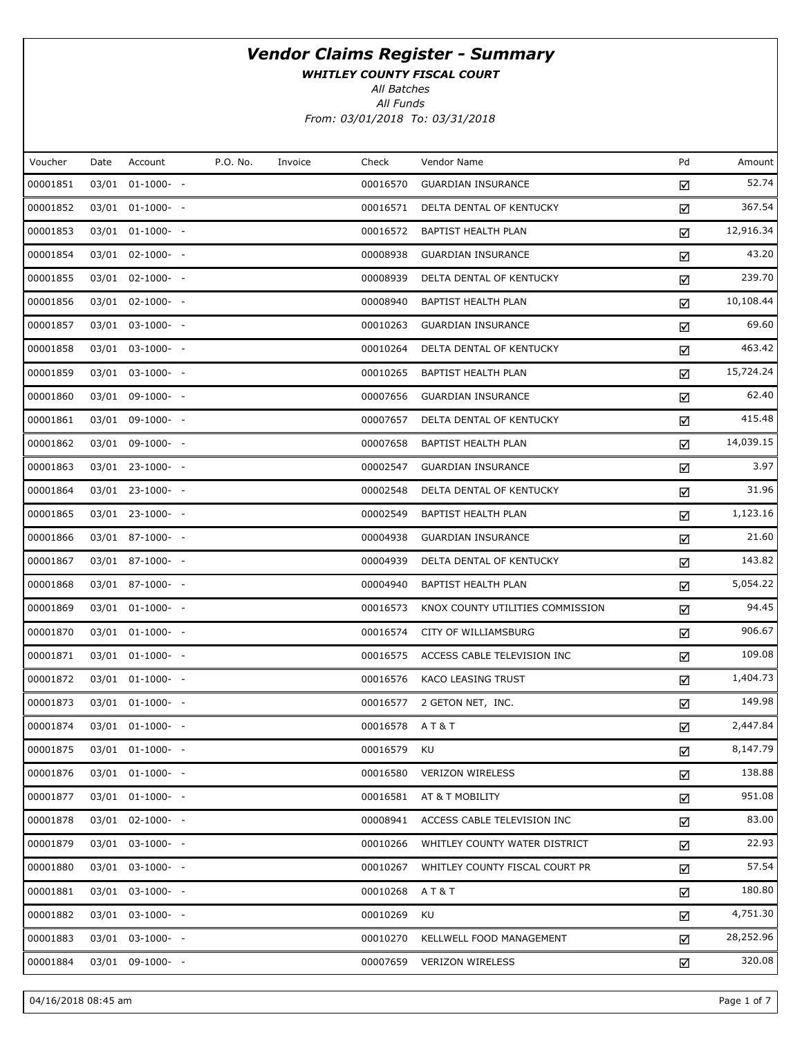WHITLEY COUNTY FISCAL COURT

All Batches

All Funds From: 03/01/2018 To: 03/31/2018

| Amount    | Pd | Vendor Name                      | Check         | Invoice | P.O. No. | Account              | Date | Voucher  |
|-----------|----|----------------------------------|---------------|---------|----------|----------------------|------|----------|
| 52.74     | ☑  | <b>GUARDIAN INSURANCE</b>        | 00016570      |         |          | 03/01 01-1000- -     |      | 00001851 |
| 367.54    | ☑  | DELTA DENTAL OF KENTUCKY         | 00016571      |         |          | 03/01 01-1000- -     |      | 00001852 |
| 12,916.34 | ☑  | BAPTIST HEALTH PLAN              | 00016572      |         |          | 03/01 01-1000- -     |      | 00001853 |
| 43.20     | ☑  | <b>GUARDIAN INSURANCE</b>        | 00008938      |         |          | 03/01 02-1000- -     |      | 00001854 |
| 239.70    | ☑  | DELTA DENTAL OF KENTUCKY         | 00008939      |         |          | 03/01 02-1000- -     |      | 00001855 |
| 10,108.44 | ☑  | BAPTIST HEALTH PLAN              | 00008940      |         |          | 03/01 02-1000- -     |      | 00001856 |
| 69.60     | ☑  | <b>GUARDIAN INSURANCE</b>        | 00010263      |         |          | 03/01 03-1000- -     |      | 00001857 |
| 463.42    | ☑  | DELTA DENTAL OF KENTUCKY         | 00010264      |         |          | 03/01 03-1000- -     |      | 00001858 |
| 15,724.24 | ☑  | BAPTIST HEALTH PLAN              | 00010265      |         |          | 03/01 03-1000- -     |      | 00001859 |
| 62.40     | ☑  | <b>GUARDIAN INSURANCE</b>        | 00007656      |         |          | 03/01 09-1000- -     |      | 00001860 |
| 415.48    | ☑  | DELTA DENTAL OF KENTUCKY         | 00007657      |         |          | 03/01 09-1000- -     |      | 00001861 |
| 14,039.15 | ☑  | BAPTIST HEALTH PLAN              | 00007658      |         |          | 03/01 09-1000- -     |      | 00001862 |
| 3.97      | ☑  | <b>GUARDIAN INSURANCE</b>        | 00002547      |         |          | 03/01 23-1000- -     |      | 00001863 |
| 31.96     | ☑  | DELTA DENTAL OF KENTUCKY         | 00002548      |         |          | 03/01 23-1000- -     |      | 00001864 |
| 1,123.16  | ☑  | BAPTIST HEALTH PLAN              | 00002549      |         |          | 03/01 23-1000- -     |      | 00001865 |
| 21.60     | ☑  | <b>GUARDIAN INSURANCE</b>        | 00004938      |         |          | 03/01 87-1000- -     |      | 00001866 |
| 143.82    | ☑  | DELTA DENTAL OF KENTUCKY         | 00004939      |         |          | 03/01 87-1000- -     |      | 00001867 |
| 5,054.22  | ☑  | BAPTIST HEALTH PLAN              | 00004940      |         |          | 03/01 87-1000- -     |      | 00001868 |
| 94.45     | ☑  | KNOX COUNTY UTILITIES COMMISSION | 00016573      |         |          | 03/01 01-1000- -     |      | 00001869 |
| 906.67    | ☑  | CITY OF WILLIAMSBURG             | 00016574      |         |          | 03/01 01-1000- -     |      | 00001870 |
| 109.08    | ☑  | ACCESS CABLE TELEVISION INC      | 00016575      |         |          | 03/01 01-1000- -     |      | 00001871 |
| 1,404.73  | ☑  | KACO LEASING TRUST               | 00016576      |         |          | 03/01 01-1000- -     |      | 00001872 |
| 149.98    | ☑  | 2 GETON NET, INC.                | 00016577      |         |          | 03/01 01-1000- -     |      | 00001873 |
| 2,447.84  | ☑  |                                  | 00016578 AT&T |         |          | 03/01 01-1000- -     |      | 00001874 |
| 8,147.79  | ☑  | KU                               | 00016579      |         |          | 03/01 01-1000- -     |      | 00001875 |
| 138.88    | ☑  | <b>VERIZON WIRELESS</b>          | 00016580      |         |          | 03/01 01-1000- -     |      | 00001876 |
| 951.08    | ☑  | AT & T MOBILITY                  | 00016581      |         |          | 03/01 01-1000- -     |      | 00001877 |
| 83.00     | ☑  | ACCESS CABLE TELEVISION INC      | 00008941      |         |          | $03/01$ $02-1000-$ - |      | 00001878 |
| 22.93     | ☑  | WHITLEY COUNTY WATER DISTRICT    | 00010266      |         |          | 03/01 03-1000- -     |      | 00001879 |
| 57.54     | ☑  | WHITLEY COUNTY FISCAL COURT PR   | 00010267      |         |          | 03/01 03-1000- -     |      | 00001880 |
| 180.80    | ☑  | <b>AT&amp;T</b>                  | 00010268      |         |          | 03/01 03-1000- -     |      | 00001881 |
| 4,751.30  | ☑  | KU                               | 00010269      |         |          | 03/01 03-1000- -     |      | 00001882 |
| 28,252.96 | ☑  | KELLWELL FOOD MANAGEMENT         | 00010270      |         |          | 03/01 03-1000- -     |      | 00001883 |
| 320.08    | ☑  | <b>VERIZON WIRELESS</b>          | 00007659      |         |          | 03/01 09-1000- -     |      | 00001884 |
|           |    |                                  |               |         |          |                      |      |          |

04/16/2018 08:45 am Page 1 of 7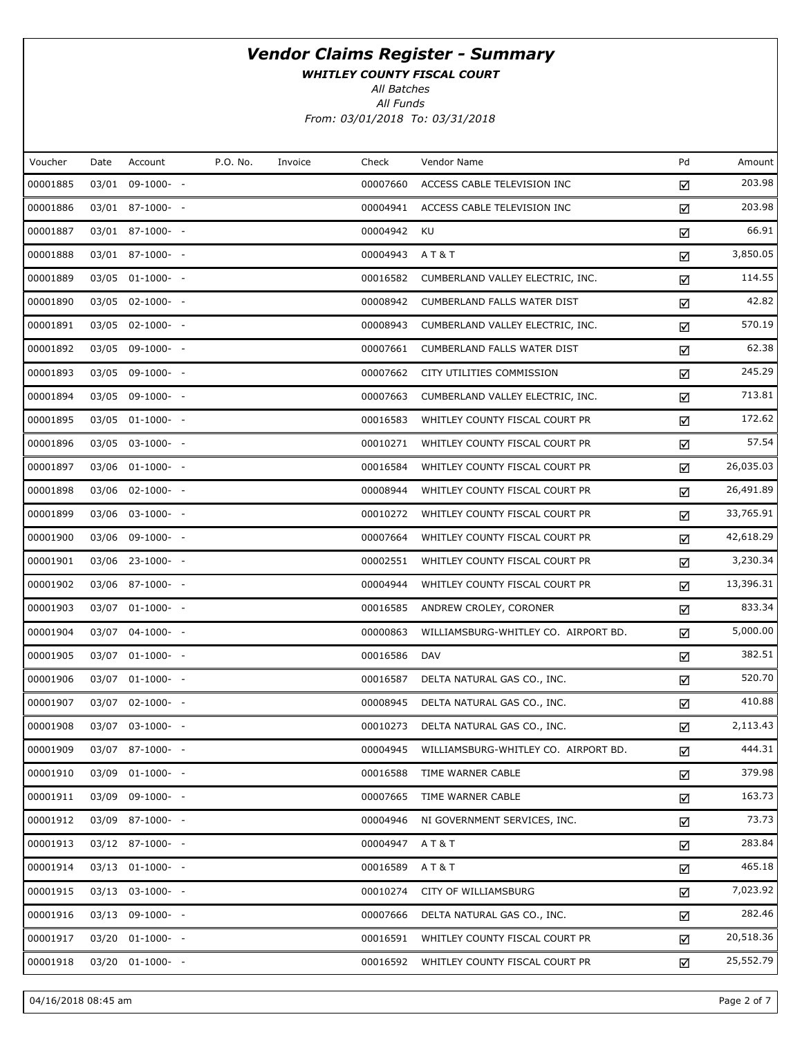WHITLEY COUNTY FISCAL COURT

All Batches

All Funds From: 03/01/2018 To: 03/31/2018

| Voucher<br>P.O. No.<br>Pd<br>Account<br>Check<br>Vendor Name<br>Amount<br>Date<br>Invoice<br>203.98<br>00001885<br>03/01 09-1000- -<br>00007660<br>ACCESS CABLE TELEVISION INC<br>☑<br>203.98<br>00001886<br>03/01 87-1000- -<br>00004941<br>ACCESS CABLE TELEVISION INC<br>☑<br>66.91<br>00001887<br>03/01 87-1000- -<br>00004942<br>KU<br>☑<br>3,850.05<br>00001888<br>03/01 87-1000- -<br>00004943<br>A T & T<br>☑<br>114.55<br>00001889<br>03/05 01-1000- -<br>00016582<br>CUMBERLAND VALLEY ELECTRIC, INC.<br>☑<br>42.82<br>00001890<br>03/05 02-1000- -<br>00008942<br>CUMBERLAND FALLS WATER DIST<br>☑<br>570.19<br>00001891<br>03/05 02-1000- -<br>00008943<br>CUMBERLAND VALLEY ELECTRIC, INC.<br>☑<br>62.38<br>00001892<br>03/05 09-1000- -<br>00007661<br>CUMBERLAND FALLS WATER DIST<br>☑<br>245.29<br>00001893<br>03/05 09-1000- -<br>00007662<br>CITY UTILITIES COMMISSION<br>☑<br>713.81<br>00001894<br>03/05 09-1000- -<br>00007663<br>CUMBERLAND VALLEY ELECTRIC, INC.<br>☑<br>172.62<br>00001895<br>03/05 01-1000- -<br>00016583<br>WHITLEY COUNTY FISCAL COURT PR<br>☑<br>57.54<br>00001896<br>03/05 03-1000- -<br>00010271<br>WHITLEY COUNTY FISCAL COURT PR<br>☑<br>26,035.03<br>00001897<br>03/06 01-1000- -<br>00016584<br>WHITLEY COUNTY FISCAL COURT PR<br>☑<br>26,491.89<br>00001898<br>03/06 02-1000- -<br>00008944<br>WHITLEY COUNTY FISCAL COURT PR<br>☑<br>33,765.91<br>00001899<br>03/06 03-1000- -<br>00010272<br>WHITLEY COUNTY FISCAL COURT PR<br>☑<br>42,618.29<br>00001900<br>03/06 09-1000- -<br>00007664<br>WHITLEY COUNTY FISCAL COURT PR<br>☑<br>3,230.34<br>00001901<br>03/06 23-1000- -<br>00002551<br>WHITLEY COUNTY FISCAL COURT PR<br>☑<br>13,396.31<br>00001902<br>03/06 87-1000- -<br>00004944<br>WHITLEY COUNTY FISCAL COURT PR<br>☑<br>833.34<br>00001903<br>03/07 01-1000- -<br>00016585<br>ANDREW CROLEY, CORONER<br>☑<br>5,000.00<br>00001904<br>03/07 04-1000- -<br>00000863<br>WILLIAMSBURG-WHITLEY CO. AIRPORT BD.<br>☑<br>382.51<br>00001905<br>00016586<br>03/07 01-1000- -<br><b>DAV</b><br>☑<br>520.70<br>00001906<br>03/07 01-1000- -<br>00016587<br>DELTA NATURAL GAS CO., INC.<br>☑<br>410.88<br>00001907<br>03/07 02-1000- -<br>00008945<br>DELTA NATURAL GAS CO., INC.<br>☑<br>2,113.43<br>00001908<br>03/07 03-1000- -<br>00010273<br>DELTA NATURAL GAS CO., INC.<br>☑<br>444.31<br>00001909<br>03/07 87-1000- -<br>00004945<br>WILLIAMSBURG-WHITLEY CO. AIRPORT BD.<br>☑<br>379.98<br>00001910<br>03/09 01-1000- -<br>00016588<br>TIME WARNER CABLE<br>☑<br>163.73<br>00001911<br>03/09 09-1000- -<br>00007665<br>TIME WARNER CABLE<br>☑<br>73.73<br>00001912<br>03/09 87-1000- -<br>00004946<br>NI GOVERNMENT SERVICES, INC.<br>☑<br>283.84<br>00001913<br>03/12 87-1000- -<br>00004947<br>A T & T<br>☑<br>465.18<br>00001914<br>03/13 01-1000- -<br>00016589<br>A T & T<br>☑<br>7,023.92<br>00001915<br>03/13 03-1000- -<br>CITY OF WILLIAMSBURG<br>00010274<br>☑<br>282.46<br>00001916<br>03/13 09-1000- -<br>00007666<br>DELTA NATURAL GAS CO., INC.<br>☑<br>20,518.36<br>00001917<br>03/20 01-1000- -<br>00016591<br>WHITLEY COUNTY FISCAL COURT PR<br>☑<br>25,552.79<br>00001918<br>03/20 01-1000- -<br>00016592<br>WHITLEY COUNTY FISCAL COURT PR<br>☑ |  |  |  |
|---------------------------------------------------------------------------------------------------------------------------------------------------------------------------------------------------------------------------------------------------------------------------------------------------------------------------------------------------------------------------------------------------------------------------------------------------------------------------------------------------------------------------------------------------------------------------------------------------------------------------------------------------------------------------------------------------------------------------------------------------------------------------------------------------------------------------------------------------------------------------------------------------------------------------------------------------------------------------------------------------------------------------------------------------------------------------------------------------------------------------------------------------------------------------------------------------------------------------------------------------------------------------------------------------------------------------------------------------------------------------------------------------------------------------------------------------------------------------------------------------------------------------------------------------------------------------------------------------------------------------------------------------------------------------------------------------------------------------------------------------------------------------------------------------------------------------------------------------------------------------------------------------------------------------------------------------------------------------------------------------------------------------------------------------------------------------------------------------------------------------------------------------------------------------------------------------------------------------------------------------------------------------------------------------------------------------------------------------------------------------------------------------------------------------------------------------------------------------------------------------------------------------------------------------------------------------------------------------------------------------------------------------------------------------------------------------------------------------------------------------------------------------------------------------------------------------------------------------------------------------------------------------------------------------------------------------------------------------------------------------------------------------------------------------------------------------------------------------------------------------------------------------------------------------------------------------------------------------------|--|--|--|
|                                                                                                                                                                                                                                                                                                                                                                                                                                                                                                                                                                                                                                                                                                                                                                                                                                                                                                                                                                                                                                                                                                                                                                                                                                                                                                                                                                                                                                                                                                                                                                                                                                                                                                                                                                                                                                                                                                                                                                                                                                                                                                                                                                                                                                                                                                                                                                                                                                                                                                                                                                                                                                                                                                                                                                                                                                                                                                                                                                                                                                                                                                                                                                                                                                 |  |  |  |
|                                                                                                                                                                                                                                                                                                                                                                                                                                                                                                                                                                                                                                                                                                                                                                                                                                                                                                                                                                                                                                                                                                                                                                                                                                                                                                                                                                                                                                                                                                                                                                                                                                                                                                                                                                                                                                                                                                                                                                                                                                                                                                                                                                                                                                                                                                                                                                                                                                                                                                                                                                                                                                                                                                                                                                                                                                                                                                                                                                                                                                                                                                                                                                                                                                 |  |  |  |
|                                                                                                                                                                                                                                                                                                                                                                                                                                                                                                                                                                                                                                                                                                                                                                                                                                                                                                                                                                                                                                                                                                                                                                                                                                                                                                                                                                                                                                                                                                                                                                                                                                                                                                                                                                                                                                                                                                                                                                                                                                                                                                                                                                                                                                                                                                                                                                                                                                                                                                                                                                                                                                                                                                                                                                                                                                                                                                                                                                                                                                                                                                                                                                                                                                 |  |  |  |
|                                                                                                                                                                                                                                                                                                                                                                                                                                                                                                                                                                                                                                                                                                                                                                                                                                                                                                                                                                                                                                                                                                                                                                                                                                                                                                                                                                                                                                                                                                                                                                                                                                                                                                                                                                                                                                                                                                                                                                                                                                                                                                                                                                                                                                                                                                                                                                                                                                                                                                                                                                                                                                                                                                                                                                                                                                                                                                                                                                                                                                                                                                                                                                                                                                 |  |  |  |
|                                                                                                                                                                                                                                                                                                                                                                                                                                                                                                                                                                                                                                                                                                                                                                                                                                                                                                                                                                                                                                                                                                                                                                                                                                                                                                                                                                                                                                                                                                                                                                                                                                                                                                                                                                                                                                                                                                                                                                                                                                                                                                                                                                                                                                                                                                                                                                                                                                                                                                                                                                                                                                                                                                                                                                                                                                                                                                                                                                                                                                                                                                                                                                                                                                 |  |  |  |
|                                                                                                                                                                                                                                                                                                                                                                                                                                                                                                                                                                                                                                                                                                                                                                                                                                                                                                                                                                                                                                                                                                                                                                                                                                                                                                                                                                                                                                                                                                                                                                                                                                                                                                                                                                                                                                                                                                                                                                                                                                                                                                                                                                                                                                                                                                                                                                                                                                                                                                                                                                                                                                                                                                                                                                                                                                                                                                                                                                                                                                                                                                                                                                                                                                 |  |  |  |
|                                                                                                                                                                                                                                                                                                                                                                                                                                                                                                                                                                                                                                                                                                                                                                                                                                                                                                                                                                                                                                                                                                                                                                                                                                                                                                                                                                                                                                                                                                                                                                                                                                                                                                                                                                                                                                                                                                                                                                                                                                                                                                                                                                                                                                                                                                                                                                                                                                                                                                                                                                                                                                                                                                                                                                                                                                                                                                                                                                                                                                                                                                                                                                                                                                 |  |  |  |
|                                                                                                                                                                                                                                                                                                                                                                                                                                                                                                                                                                                                                                                                                                                                                                                                                                                                                                                                                                                                                                                                                                                                                                                                                                                                                                                                                                                                                                                                                                                                                                                                                                                                                                                                                                                                                                                                                                                                                                                                                                                                                                                                                                                                                                                                                                                                                                                                                                                                                                                                                                                                                                                                                                                                                                                                                                                                                                                                                                                                                                                                                                                                                                                                                                 |  |  |  |
|                                                                                                                                                                                                                                                                                                                                                                                                                                                                                                                                                                                                                                                                                                                                                                                                                                                                                                                                                                                                                                                                                                                                                                                                                                                                                                                                                                                                                                                                                                                                                                                                                                                                                                                                                                                                                                                                                                                                                                                                                                                                                                                                                                                                                                                                                                                                                                                                                                                                                                                                                                                                                                                                                                                                                                                                                                                                                                                                                                                                                                                                                                                                                                                                                                 |  |  |  |
|                                                                                                                                                                                                                                                                                                                                                                                                                                                                                                                                                                                                                                                                                                                                                                                                                                                                                                                                                                                                                                                                                                                                                                                                                                                                                                                                                                                                                                                                                                                                                                                                                                                                                                                                                                                                                                                                                                                                                                                                                                                                                                                                                                                                                                                                                                                                                                                                                                                                                                                                                                                                                                                                                                                                                                                                                                                                                                                                                                                                                                                                                                                                                                                                                                 |  |  |  |
|                                                                                                                                                                                                                                                                                                                                                                                                                                                                                                                                                                                                                                                                                                                                                                                                                                                                                                                                                                                                                                                                                                                                                                                                                                                                                                                                                                                                                                                                                                                                                                                                                                                                                                                                                                                                                                                                                                                                                                                                                                                                                                                                                                                                                                                                                                                                                                                                                                                                                                                                                                                                                                                                                                                                                                                                                                                                                                                                                                                                                                                                                                                                                                                                                                 |  |  |  |
|                                                                                                                                                                                                                                                                                                                                                                                                                                                                                                                                                                                                                                                                                                                                                                                                                                                                                                                                                                                                                                                                                                                                                                                                                                                                                                                                                                                                                                                                                                                                                                                                                                                                                                                                                                                                                                                                                                                                                                                                                                                                                                                                                                                                                                                                                                                                                                                                                                                                                                                                                                                                                                                                                                                                                                                                                                                                                                                                                                                                                                                                                                                                                                                                                                 |  |  |  |
|                                                                                                                                                                                                                                                                                                                                                                                                                                                                                                                                                                                                                                                                                                                                                                                                                                                                                                                                                                                                                                                                                                                                                                                                                                                                                                                                                                                                                                                                                                                                                                                                                                                                                                                                                                                                                                                                                                                                                                                                                                                                                                                                                                                                                                                                                                                                                                                                                                                                                                                                                                                                                                                                                                                                                                                                                                                                                                                                                                                                                                                                                                                                                                                                                                 |  |  |  |
|                                                                                                                                                                                                                                                                                                                                                                                                                                                                                                                                                                                                                                                                                                                                                                                                                                                                                                                                                                                                                                                                                                                                                                                                                                                                                                                                                                                                                                                                                                                                                                                                                                                                                                                                                                                                                                                                                                                                                                                                                                                                                                                                                                                                                                                                                                                                                                                                                                                                                                                                                                                                                                                                                                                                                                                                                                                                                                                                                                                                                                                                                                                                                                                                                                 |  |  |  |
|                                                                                                                                                                                                                                                                                                                                                                                                                                                                                                                                                                                                                                                                                                                                                                                                                                                                                                                                                                                                                                                                                                                                                                                                                                                                                                                                                                                                                                                                                                                                                                                                                                                                                                                                                                                                                                                                                                                                                                                                                                                                                                                                                                                                                                                                                                                                                                                                                                                                                                                                                                                                                                                                                                                                                                                                                                                                                                                                                                                                                                                                                                                                                                                                                                 |  |  |  |
|                                                                                                                                                                                                                                                                                                                                                                                                                                                                                                                                                                                                                                                                                                                                                                                                                                                                                                                                                                                                                                                                                                                                                                                                                                                                                                                                                                                                                                                                                                                                                                                                                                                                                                                                                                                                                                                                                                                                                                                                                                                                                                                                                                                                                                                                                                                                                                                                                                                                                                                                                                                                                                                                                                                                                                                                                                                                                                                                                                                                                                                                                                                                                                                                                                 |  |  |  |
|                                                                                                                                                                                                                                                                                                                                                                                                                                                                                                                                                                                                                                                                                                                                                                                                                                                                                                                                                                                                                                                                                                                                                                                                                                                                                                                                                                                                                                                                                                                                                                                                                                                                                                                                                                                                                                                                                                                                                                                                                                                                                                                                                                                                                                                                                                                                                                                                                                                                                                                                                                                                                                                                                                                                                                                                                                                                                                                                                                                                                                                                                                                                                                                                                                 |  |  |  |
|                                                                                                                                                                                                                                                                                                                                                                                                                                                                                                                                                                                                                                                                                                                                                                                                                                                                                                                                                                                                                                                                                                                                                                                                                                                                                                                                                                                                                                                                                                                                                                                                                                                                                                                                                                                                                                                                                                                                                                                                                                                                                                                                                                                                                                                                                                                                                                                                                                                                                                                                                                                                                                                                                                                                                                                                                                                                                                                                                                                                                                                                                                                                                                                                                                 |  |  |  |
|                                                                                                                                                                                                                                                                                                                                                                                                                                                                                                                                                                                                                                                                                                                                                                                                                                                                                                                                                                                                                                                                                                                                                                                                                                                                                                                                                                                                                                                                                                                                                                                                                                                                                                                                                                                                                                                                                                                                                                                                                                                                                                                                                                                                                                                                                                                                                                                                                                                                                                                                                                                                                                                                                                                                                                                                                                                                                                                                                                                                                                                                                                                                                                                                                                 |  |  |  |
|                                                                                                                                                                                                                                                                                                                                                                                                                                                                                                                                                                                                                                                                                                                                                                                                                                                                                                                                                                                                                                                                                                                                                                                                                                                                                                                                                                                                                                                                                                                                                                                                                                                                                                                                                                                                                                                                                                                                                                                                                                                                                                                                                                                                                                                                                                                                                                                                                                                                                                                                                                                                                                                                                                                                                                                                                                                                                                                                                                                                                                                                                                                                                                                                                                 |  |  |  |
|                                                                                                                                                                                                                                                                                                                                                                                                                                                                                                                                                                                                                                                                                                                                                                                                                                                                                                                                                                                                                                                                                                                                                                                                                                                                                                                                                                                                                                                                                                                                                                                                                                                                                                                                                                                                                                                                                                                                                                                                                                                                                                                                                                                                                                                                                                                                                                                                                                                                                                                                                                                                                                                                                                                                                                                                                                                                                                                                                                                                                                                                                                                                                                                                                                 |  |  |  |
|                                                                                                                                                                                                                                                                                                                                                                                                                                                                                                                                                                                                                                                                                                                                                                                                                                                                                                                                                                                                                                                                                                                                                                                                                                                                                                                                                                                                                                                                                                                                                                                                                                                                                                                                                                                                                                                                                                                                                                                                                                                                                                                                                                                                                                                                                                                                                                                                                                                                                                                                                                                                                                                                                                                                                                                                                                                                                                                                                                                                                                                                                                                                                                                                                                 |  |  |  |
|                                                                                                                                                                                                                                                                                                                                                                                                                                                                                                                                                                                                                                                                                                                                                                                                                                                                                                                                                                                                                                                                                                                                                                                                                                                                                                                                                                                                                                                                                                                                                                                                                                                                                                                                                                                                                                                                                                                                                                                                                                                                                                                                                                                                                                                                                                                                                                                                                                                                                                                                                                                                                                                                                                                                                                                                                                                                                                                                                                                                                                                                                                                                                                                                                                 |  |  |  |
|                                                                                                                                                                                                                                                                                                                                                                                                                                                                                                                                                                                                                                                                                                                                                                                                                                                                                                                                                                                                                                                                                                                                                                                                                                                                                                                                                                                                                                                                                                                                                                                                                                                                                                                                                                                                                                                                                                                                                                                                                                                                                                                                                                                                                                                                                                                                                                                                                                                                                                                                                                                                                                                                                                                                                                                                                                                                                                                                                                                                                                                                                                                                                                                                                                 |  |  |  |
|                                                                                                                                                                                                                                                                                                                                                                                                                                                                                                                                                                                                                                                                                                                                                                                                                                                                                                                                                                                                                                                                                                                                                                                                                                                                                                                                                                                                                                                                                                                                                                                                                                                                                                                                                                                                                                                                                                                                                                                                                                                                                                                                                                                                                                                                                                                                                                                                                                                                                                                                                                                                                                                                                                                                                                                                                                                                                                                                                                                                                                                                                                                                                                                                                                 |  |  |  |
|                                                                                                                                                                                                                                                                                                                                                                                                                                                                                                                                                                                                                                                                                                                                                                                                                                                                                                                                                                                                                                                                                                                                                                                                                                                                                                                                                                                                                                                                                                                                                                                                                                                                                                                                                                                                                                                                                                                                                                                                                                                                                                                                                                                                                                                                                                                                                                                                                                                                                                                                                                                                                                                                                                                                                                                                                                                                                                                                                                                                                                                                                                                                                                                                                                 |  |  |  |
|                                                                                                                                                                                                                                                                                                                                                                                                                                                                                                                                                                                                                                                                                                                                                                                                                                                                                                                                                                                                                                                                                                                                                                                                                                                                                                                                                                                                                                                                                                                                                                                                                                                                                                                                                                                                                                                                                                                                                                                                                                                                                                                                                                                                                                                                                                                                                                                                                                                                                                                                                                                                                                                                                                                                                                                                                                                                                                                                                                                                                                                                                                                                                                                                                                 |  |  |  |
|                                                                                                                                                                                                                                                                                                                                                                                                                                                                                                                                                                                                                                                                                                                                                                                                                                                                                                                                                                                                                                                                                                                                                                                                                                                                                                                                                                                                                                                                                                                                                                                                                                                                                                                                                                                                                                                                                                                                                                                                                                                                                                                                                                                                                                                                                                                                                                                                                                                                                                                                                                                                                                                                                                                                                                                                                                                                                                                                                                                                                                                                                                                                                                                                                                 |  |  |  |
|                                                                                                                                                                                                                                                                                                                                                                                                                                                                                                                                                                                                                                                                                                                                                                                                                                                                                                                                                                                                                                                                                                                                                                                                                                                                                                                                                                                                                                                                                                                                                                                                                                                                                                                                                                                                                                                                                                                                                                                                                                                                                                                                                                                                                                                                                                                                                                                                                                                                                                                                                                                                                                                                                                                                                                                                                                                                                                                                                                                                                                                                                                                                                                                                                                 |  |  |  |
|                                                                                                                                                                                                                                                                                                                                                                                                                                                                                                                                                                                                                                                                                                                                                                                                                                                                                                                                                                                                                                                                                                                                                                                                                                                                                                                                                                                                                                                                                                                                                                                                                                                                                                                                                                                                                                                                                                                                                                                                                                                                                                                                                                                                                                                                                                                                                                                                                                                                                                                                                                                                                                                                                                                                                                                                                                                                                                                                                                                                                                                                                                                                                                                                                                 |  |  |  |
|                                                                                                                                                                                                                                                                                                                                                                                                                                                                                                                                                                                                                                                                                                                                                                                                                                                                                                                                                                                                                                                                                                                                                                                                                                                                                                                                                                                                                                                                                                                                                                                                                                                                                                                                                                                                                                                                                                                                                                                                                                                                                                                                                                                                                                                                                                                                                                                                                                                                                                                                                                                                                                                                                                                                                                                                                                                                                                                                                                                                                                                                                                                                                                                                                                 |  |  |  |
|                                                                                                                                                                                                                                                                                                                                                                                                                                                                                                                                                                                                                                                                                                                                                                                                                                                                                                                                                                                                                                                                                                                                                                                                                                                                                                                                                                                                                                                                                                                                                                                                                                                                                                                                                                                                                                                                                                                                                                                                                                                                                                                                                                                                                                                                                                                                                                                                                                                                                                                                                                                                                                                                                                                                                                                                                                                                                                                                                                                                                                                                                                                                                                                                                                 |  |  |  |
|                                                                                                                                                                                                                                                                                                                                                                                                                                                                                                                                                                                                                                                                                                                                                                                                                                                                                                                                                                                                                                                                                                                                                                                                                                                                                                                                                                                                                                                                                                                                                                                                                                                                                                                                                                                                                                                                                                                                                                                                                                                                                                                                                                                                                                                                                                                                                                                                                                                                                                                                                                                                                                                                                                                                                                                                                                                                                                                                                                                                                                                                                                                                                                                                                                 |  |  |  |
|                                                                                                                                                                                                                                                                                                                                                                                                                                                                                                                                                                                                                                                                                                                                                                                                                                                                                                                                                                                                                                                                                                                                                                                                                                                                                                                                                                                                                                                                                                                                                                                                                                                                                                                                                                                                                                                                                                                                                                                                                                                                                                                                                                                                                                                                                                                                                                                                                                                                                                                                                                                                                                                                                                                                                                                                                                                                                                                                                                                                                                                                                                                                                                                                                                 |  |  |  |
|                                                                                                                                                                                                                                                                                                                                                                                                                                                                                                                                                                                                                                                                                                                                                                                                                                                                                                                                                                                                                                                                                                                                                                                                                                                                                                                                                                                                                                                                                                                                                                                                                                                                                                                                                                                                                                                                                                                                                                                                                                                                                                                                                                                                                                                                                                                                                                                                                                                                                                                                                                                                                                                                                                                                                                                                                                                                                                                                                                                                                                                                                                                                                                                                                                 |  |  |  |

04/16/2018 08:45 am Page 2 of 7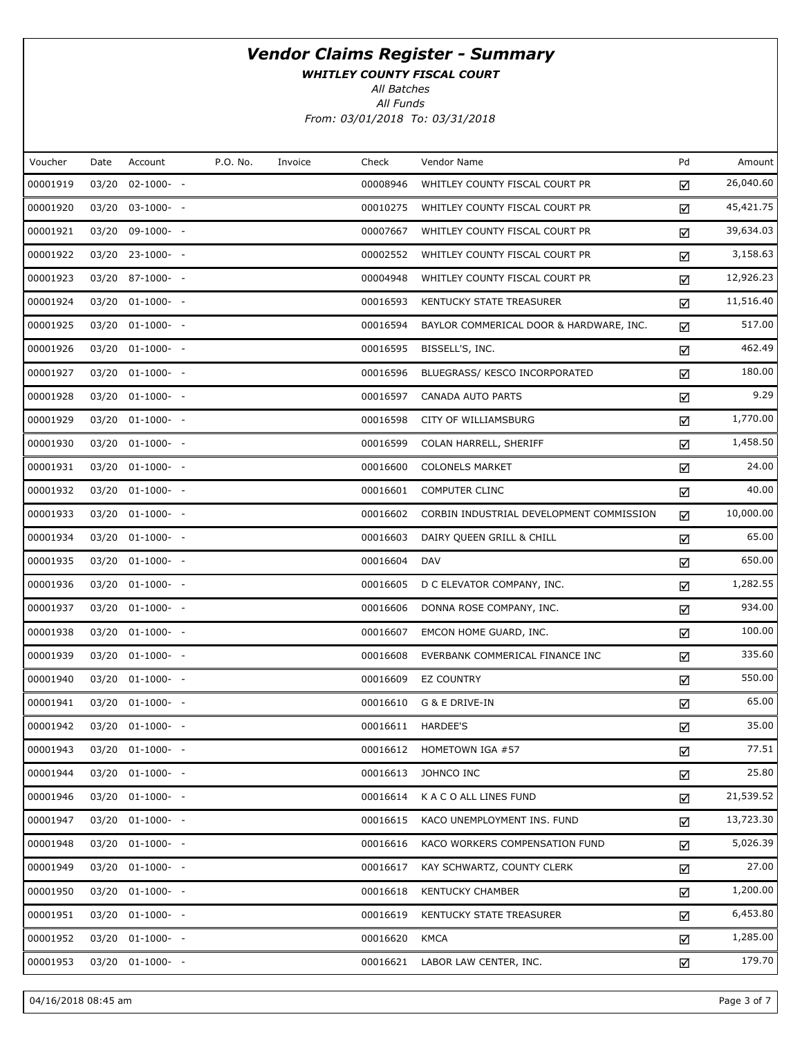WHITLEY COUNTY FISCAL COURT

All Batches

All Funds From: 03/01/2018 To: 03/31/2018

| Voucher  | Date  | Account          | P.O. No. | Invoice | Check    | Vendor Name                              | Pd | Amount    |
|----------|-------|------------------|----------|---------|----------|------------------------------------------|----|-----------|
| 00001919 | 03/20 | $02 - 1000 - -$  |          |         | 00008946 | WHITLEY COUNTY FISCAL COURT PR           | ☑  | 26,040.60 |
| 00001920 |       | 03/20 03-1000- - |          |         | 00010275 | WHITLEY COUNTY FISCAL COURT PR           | ☑  | 45,421.75 |
| 00001921 | 03/20 | 09-1000- -       |          |         | 00007667 | WHITLEY COUNTY FISCAL COURT PR           | ☑  | 39,634.03 |
| 00001922 |       | 03/20 23-1000- - |          |         | 00002552 | WHITLEY COUNTY FISCAL COURT PR           | ☑  | 3,158.63  |
| 00001923 |       | 03/20 87-1000- - |          |         | 00004948 | WHITLEY COUNTY FISCAL COURT PR           | ☑  | 12,926.23 |
| 00001924 |       | 03/20 01-1000- - |          |         | 00016593 | KENTUCKY STATE TREASURER                 | ☑  | 11,516.40 |
| 00001925 |       | 03/20 01-1000- - |          |         | 00016594 | BAYLOR COMMERICAL DOOR & HARDWARE, INC.  | ☑  | 517.00    |
| 00001926 |       | 03/20 01-1000- - |          |         | 00016595 | BISSELL'S, INC.                          | ☑  | 462.49    |
| 00001927 |       | 03/20 01-1000- - |          |         | 00016596 | BLUEGRASS/ KESCO INCORPORATED            | ☑  | 180.00    |
| 00001928 |       | 03/20 01-1000- - |          |         | 00016597 | CANADA AUTO PARTS                        | ☑  | 9.29      |
| 00001929 |       | 03/20 01-1000- - |          |         | 00016598 | CITY OF WILLIAMSBURG                     | ☑  | 1,770.00  |
| 00001930 |       | 03/20 01-1000- - |          |         | 00016599 | COLAN HARRELL, SHERIFF                   | ☑  | 1,458.50  |
| 00001931 |       | 03/20 01-1000- - |          |         | 00016600 | <b>COLONELS MARKET</b>                   | ☑  | 24.00     |
| 00001932 |       | 03/20 01-1000- - |          |         | 00016601 | <b>COMPUTER CLINC</b>                    | ☑  | 40.00     |
| 00001933 |       | 03/20 01-1000- - |          |         | 00016602 | CORBIN INDUSTRIAL DEVELOPMENT COMMISSION | ☑  | 10,000.00 |
| 00001934 |       | 03/20 01-1000- - |          |         | 00016603 | DAIRY QUEEN GRILL & CHILL                | ☑  | 65.00     |
| 00001935 |       | 03/20 01-1000- - |          |         | 00016604 | <b>DAV</b>                               | ☑  | 650.00    |
| 00001936 |       | 03/20 01-1000- - |          |         | 00016605 | D C ELEVATOR COMPANY, INC.               | ☑  | 1,282.55  |
| 00001937 |       | 03/20 01-1000- - |          |         | 00016606 | DONNA ROSE COMPANY, INC.                 | ☑  | 934.00    |
| 00001938 |       | 03/20 01-1000- - |          |         | 00016607 | EMCON HOME GUARD, INC.                   | ☑  | 100.00    |
| 00001939 |       | 03/20 01-1000- - |          |         | 00016608 | EVERBANK COMMERICAL FINANCE INC          | ☑  | 335.60    |
| 00001940 |       | 03/20 01-1000- - |          |         | 00016609 | <b>EZ COUNTRY</b>                        | ☑  | 550.00    |
| 00001941 |       | 03/20 01-1000- - |          |         | 00016610 | G & E DRIVE-IN                           | ☑  | 65.00     |
| 00001942 |       | 03/20 01-1000- - |          |         | 00016611 | HARDEE'S                                 | ☑  | 35.00     |
| 00001943 |       | 03/20 01-1000- - |          |         | 00016612 | HOMETOWN IGA #57                         | ☑  | 77.51     |
| 00001944 |       | 03/20 01-1000- - |          |         | 00016613 | JOHNCO INC                               | ☑  | 25.80     |
| 00001946 |       | 03/20 01-1000- - |          |         | 00016614 | K A C O ALL LINES FUND                   | ☑  | 21,539.52 |
| 00001947 | 03/20 | $01-1000- -$     |          |         | 00016615 | KACO UNEMPLOYMENT INS. FUND              | ☑  | 13,723.30 |
| 00001948 |       | 03/20 01-1000- - |          |         | 00016616 | KACO WORKERS COMPENSATION FUND           | ☑  | 5,026.39  |
| 00001949 | 03/20 | $01-1000-$ -     |          |         | 00016617 | KAY SCHWARTZ, COUNTY CLERK               | ☑  | 27.00     |
| 00001950 |       | 03/20 01-1000- - |          |         | 00016618 | <b>KENTUCKY CHAMBER</b>                  | ☑  | 1,200.00  |
| 00001951 | 03/20 | $01-1000-$ -     |          |         | 00016619 | KENTUCKY STATE TREASURER                 | ☑  | 6,453.80  |
| 00001952 |       | 03/20 01-1000- - |          |         | 00016620 | <b>KMCA</b>                              | ☑  | 1,285.00  |
| 00001953 |       | 03/20 01-1000- - |          |         | 00016621 | LABOR LAW CENTER, INC.                   | ☑  | 179.70    |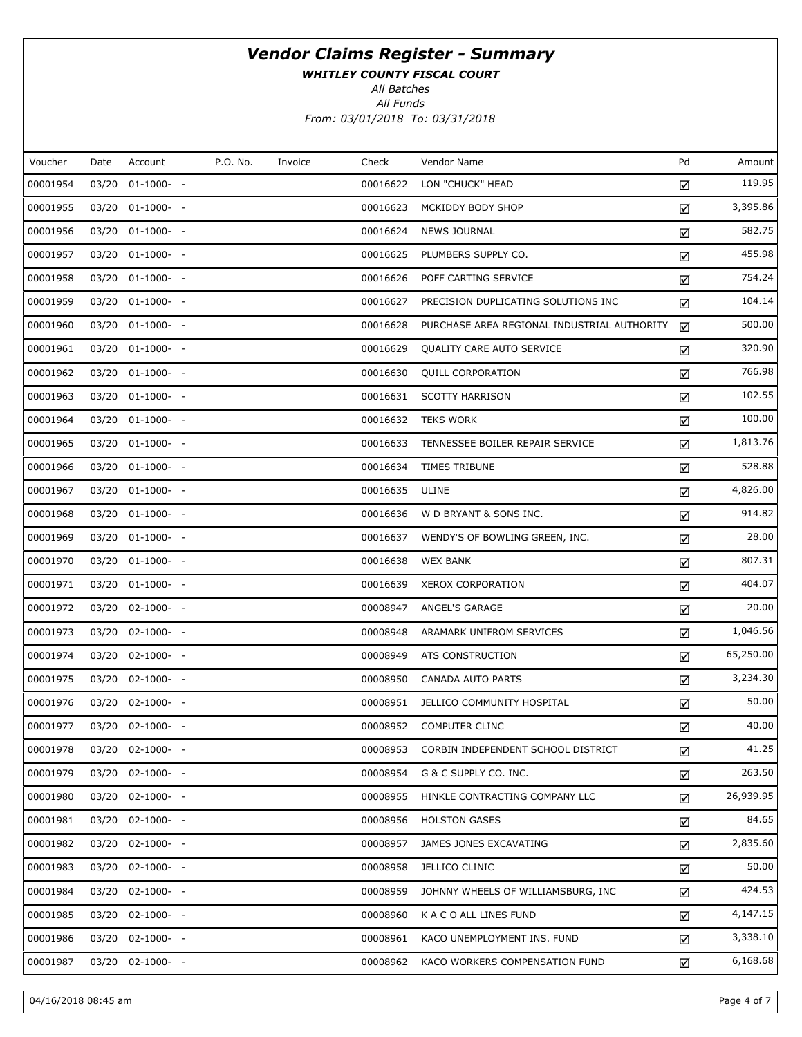WHITLEY COUNTY FISCAL COURT

All Batches

All Funds From: 03/01/2018 To: 03/31/2018

| Voucher  | Date | Account               | P.O. No. | Invoice | Check    | Vendor Name                                 | Pd | Amount    |
|----------|------|-----------------------|----------|---------|----------|---------------------------------------------|----|-----------|
| 00001954 |      | 03/20 01-1000- -      |          |         | 00016622 | LON "CHUCK" HEAD                            | ☑  | 119.95    |
| 00001955 |      | 03/20 01-1000- -      |          |         | 00016623 | MCKIDDY BODY SHOP                           | ☑  | 3,395.86  |
| 00001956 |      | 03/20 01-1000- -      |          |         | 00016624 | <b>NEWS JOURNAL</b>                         | ☑  | 582.75    |
| 00001957 |      | 03/20 01-1000- -      |          |         | 00016625 | PLUMBERS SUPPLY CO.                         | ☑  | 455.98    |
| 00001958 |      | 03/20 01-1000- -      |          |         | 00016626 | POFF CARTING SERVICE                        | ☑  | 754.24    |
| 00001959 |      | 03/20 01-1000- -      |          |         | 00016627 | PRECISION DUPLICATING SOLUTIONS INC         | ☑  | 104.14    |
| 00001960 |      | 03/20 01-1000- -      |          |         | 00016628 | PURCHASE AREA REGIONAL INDUSTRIAL AUTHORITY | ☑  | 500.00    |
| 00001961 |      | 03/20 01-1000- -      |          |         | 00016629 | QUALITY CARE AUTO SERVICE                   | ☑  | 320.90    |
| 00001962 |      | 03/20 01-1000- -      |          |         | 00016630 | <b>QUILL CORPORATION</b>                    | ☑  | 766.98    |
| 00001963 |      | 03/20 01-1000- -      |          |         | 00016631 | <b>SCOTTY HARRISON</b>                      | ☑  | 102.55    |
| 00001964 |      | 03/20 01-1000- -      |          |         | 00016632 | <b>TEKS WORK</b>                            | ☑  | 100.00    |
| 00001965 |      | 03/20 01-1000- -      |          |         | 00016633 | TENNESSEE BOILER REPAIR SERVICE             | ☑  | 1,813.76  |
| 00001966 |      | $03/20$ $01-1000$ - - |          |         | 00016634 | <b>TIMES TRIBUNE</b>                        | ☑  | 528.88    |
| 00001967 |      | 03/20 01-1000- -      |          |         | 00016635 | ULINE                                       | ☑  | 4,826.00  |
| 00001968 |      | $03/20$ $01-1000$ - - |          |         | 00016636 | W D BRYANT & SONS INC.                      | ☑  | 914.82    |
| 00001969 |      | 03/20 01-1000- -      |          |         | 00016637 | WENDY'S OF BOWLING GREEN, INC.              | ☑  | 28.00     |
| 00001970 |      | 03/20 01-1000- -      |          |         | 00016638 | <b>WEX BANK</b>                             | ☑  | 807.31    |
| 00001971 |      | 03/20 01-1000- -      |          |         | 00016639 | <b>XEROX CORPORATION</b>                    | ☑  | 404.07    |
| 00001972 |      | 03/20 02-1000- -      |          |         | 00008947 | ANGEL'S GARAGE                              | ☑  | 20.00     |
| 00001973 |      | 03/20 02-1000- -      |          |         | 00008948 | ARAMARK UNIFROM SERVICES                    | ☑  | 1,046.56  |
| 00001974 |      | 03/20 02-1000- -      |          |         | 00008949 | ATS CONSTRUCTION                            | ☑  | 65,250.00 |
| 00001975 |      | 03/20 02-1000- -      |          |         | 00008950 | CANADA AUTO PARTS                           | ☑  | 3,234.30  |
| 00001976 |      | 03/20 02-1000- -      |          |         | 00008951 | JELLICO COMMUNITY HOSPITAL                  | ☑  | 50.00     |
| 00001977 |      | 03/20 02-1000- -      |          |         | 00008952 | <b>COMPUTER CLINC</b>                       | ☑  | 40.00     |
| 00001978 |      | 03/20 02-1000- -      |          |         | 00008953 | CORBIN INDEPENDENT SCHOOL DISTRICT          | ☑  | 41.25     |
| 00001979 |      | $03/20$ $02-1000$ - - |          |         | 00008954 | G & C SUPPLY CO. INC.                       | ☑  | 263.50    |
| 00001980 |      | 03/20 02-1000- -      |          |         | 00008955 | HINKLE CONTRACTING COMPANY LLC              | ☑  | 26,939.95 |
| 00001981 |      | 03/20 02-1000- -      |          |         | 00008956 | <b>HOLSTON GASES</b>                        | ☑  | 84.65     |
| 00001982 |      | 03/20 02-1000- -      |          |         | 00008957 | JAMES JONES EXCAVATING                      | ☑  | 2,835.60  |
| 00001983 |      | 03/20 02-1000- -      |          |         | 00008958 | JELLICO CLINIC                              | ☑  | 50.00     |
| 00001984 |      | 03/20 02-1000- -      |          |         | 00008959 | JOHNNY WHEELS OF WILLIAMSBURG, INC          | ☑  | 424.53    |
| 00001985 |      | 03/20 02-1000- -      |          |         | 00008960 | K A C O ALL LINES FUND                      | ☑  | 4,147.15  |
| 00001986 |      | 03/20 02-1000- -      |          |         | 00008961 | KACO UNEMPLOYMENT INS. FUND                 | ☑  | 3,338.10  |
| 00001987 |      | 03/20 02-1000- -      |          |         | 00008962 | KACO WORKERS COMPENSATION FUND              | ☑  | 6,168.68  |

04/16/2018 08:45 am Page 4 of 7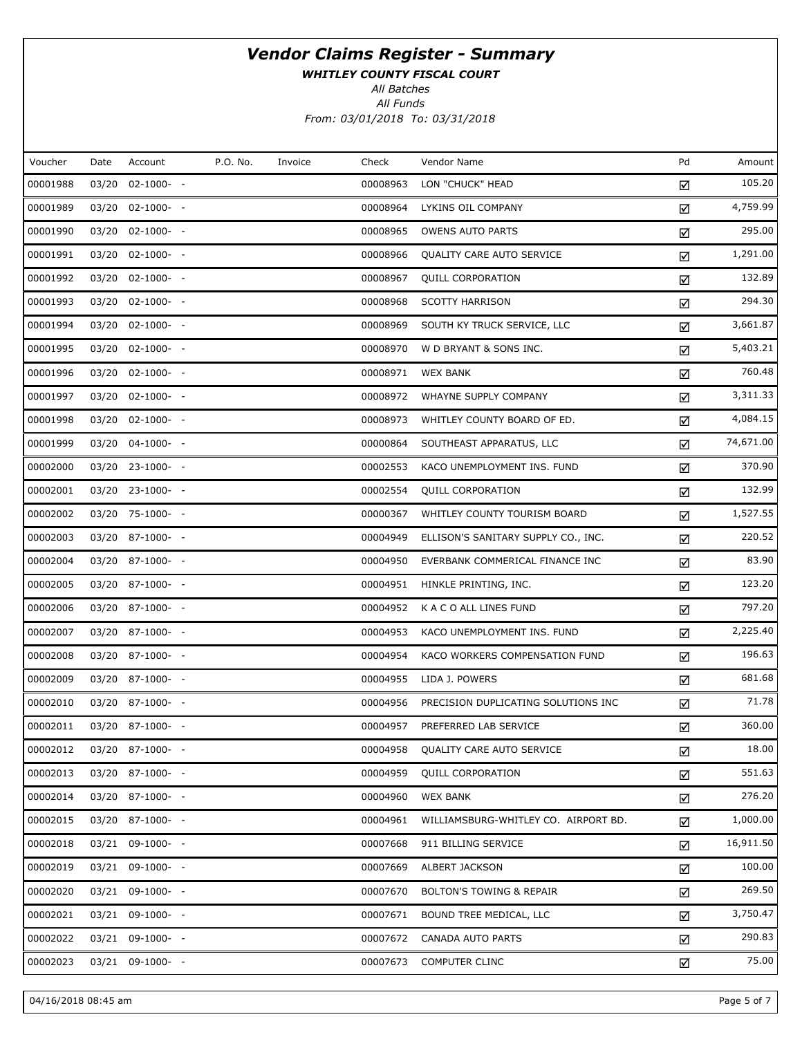WHITLEY COUNTY FISCAL COURT

All Batches

All Funds From: 03/01/2018 To: 03/31/2018

| Voucher  | Date  | Account          | P.O. No. | Invoice | Check    | Vendor Name                          | Pd | Amount    |
|----------|-------|------------------|----------|---------|----------|--------------------------------------|----|-----------|
| 00001988 | 03/20 | $02 - 1000 - -$  |          |         | 00008963 | LON "CHUCK" HEAD                     | ☑  | 105.20    |
| 00001989 |       | 03/20 02-1000- - |          |         | 00008964 | LYKINS OIL COMPANY                   | ☑  | 4,759.99  |
| 00001990 |       | 03/20 02-1000- - |          |         | 00008965 | <b>OWENS AUTO PARTS</b>              | ☑  | 295.00    |
| 00001991 |       | 03/20 02-1000- - |          |         | 00008966 | QUALITY CARE AUTO SERVICE            | ☑  | 1,291.00  |
| 00001992 |       | 03/20 02-1000- - |          |         | 00008967 | QUILL CORPORATION                    | ☑  | 132.89    |
| 00001993 |       | 03/20 02-1000- - |          |         | 00008968 | <b>SCOTTY HARRISON</b>               | ☑  | 294.30    |
| 00001994 |       | 03/20 02-1000- - |          |         | 00008969 | SOUTH KY TRUCK SERVICE, LLC          | ☑  | 3,661.87  |
| 00001995 |       | 03/20 02-1000- - |          |         | 00008970 | W D BRYANT & SONS INC.               | ☑  | 5,403.21  |
| 00001996 |       | 03/20 02-1000- - |          |         | 00008971 | <b>WEX BANK</b>                      | ☑  | 760.48    |
| 00001997 |       | 03/20 02-1000- - |          |         | 00008972 | WHAYNE SUPPLY COMPANY                | ☑  | 3,311.33  |
| 00001998 |       | 03/20 02-1000- - |          |         | 00008973 | WHITLEY COUNTY BOARD OF ED.          | ☑  | 4,084.15  |
| 00001999 |       | 03/20 04-1000- - |          |         | 00000864 | SOUTHEAST APPARATUS, LLC             | ☑  | 74,671.00 |
| 00002000 |       | 03/20 23-1000- - |          |         | 00002553 | KACO UNEMPLOYMENT INS. FUND          | ☑  | 370.90    |
| 00002001 |       | 03/20 23-1000- - |          |         | 00002554 | QUILL CORPORATION                    | ☑  | 132.99    |
| 00002002 |       | 03/20 75-1000- - |          |         | 00000367 | WHITLEY COUNTY TOURISM BOARD         | ☑  | 1,527.55  |
| 00002003 |       | 03/20 87-1000- - |          |         | 00004949 | ELLISON'S SANITARY SUPPLY CO., INC.  | ☑  | 220.52    |
| 00002004 |       | 03/20 87-1000- - |          |         | 00004950 | EVERBANK COMMERICAL FINANCE INC      | ☑  | 83.90     |
| 00002005 |       | 03/20 87-1000- - |          |         | 00004951 | HINKLE PRINTING, INC.                | ☑  | 123.20    |
| 00002006 |       | 03/20 87-1000- - |          |         | 00004952 | K A C O ALL LINES FUND               | ☑  | 797.20    |
| 00002007 |       | 03/20 87-1000- - |          |         | 00004953 | KACO UNEMPLOYMENT INS. FUND          | ☑  | 2,225.40  |
| 00002008 |       | 03/20 87-1000- - |          |         | 00004954 | KACO WORKERS COMPENSATION FUND       | ☑  | 196.63    |
| 00002009 |       | 03/20 87-1000- - |          |         | 00004955 | LIDA J. POWERS                       | ☑  | 681.68    |
| 00002010 |       | 03/20 87-1000- - |          |         | 00004956 | PRECISION DUPLICATING SOLUTIONS INC  | ☑  | 71.78     |
| 00002011 |       | 03/20 87-1000- - |          |         | 00004957 | PREFERRED LAB SERVICE                | ☑  | 360.00    |
| 00002012 |       | 03/20 87-1000- - |          |         | 00004958 | QUALITY CARE AUTO SERVICE            | ☑  | 18.00     |
| 00002013 |       | 03/20 87-1000- - |          |         | 00004959 | <b>QUILL CORPORATION</b>             | ☑  | 551.63    |
| 00002014 |       | 03/20 87-1000- - |          |         | 00004960 | <b>WEX BANK</b>                      | ☑  | 276.20    |
| 00002015 |       | 03/20 87-1000- - |          |         | 00004961 | WILLIAMSBURG-WHITLEY CO. AIRPORT BD. | ☑  | 1,000.00  |
| 00002018 |       | 03/21 09-1000- - |          |         | 00007668 | 911 BILLING SERVICE                  | ☑  | 16,911.50 |
| 00002019 |       | 03/21 09-1000- - |          |         | 00007669 | ALBERT JACKSON                       | ☑  | 100.00    |
| 00002020 |       | 03/21 09-1000- - |          |         | 00007670 | <b>BOLTON'S TOWING &amp; REPAIR</b>  | ☑  | 269.50    |
| 00002021 |       | 03/21 09-1000- - |          |         | 00007671 | BOUND TREE MEDICAL, LLC              | ☑  | 3,750.47  |
| 00002022 |       | 03/21 09-1000- - |          |         | 00007672 | CANADA AUTO PARTS                    | ☑  | 290.83    |
| 00002023 |       | 03/21 09-1000- - |          |         | 00007673 | <b>COMPUTER CLINC</b>                | ☑  | 75.00     |

04/16/2018 08:45 am Page 5 of 7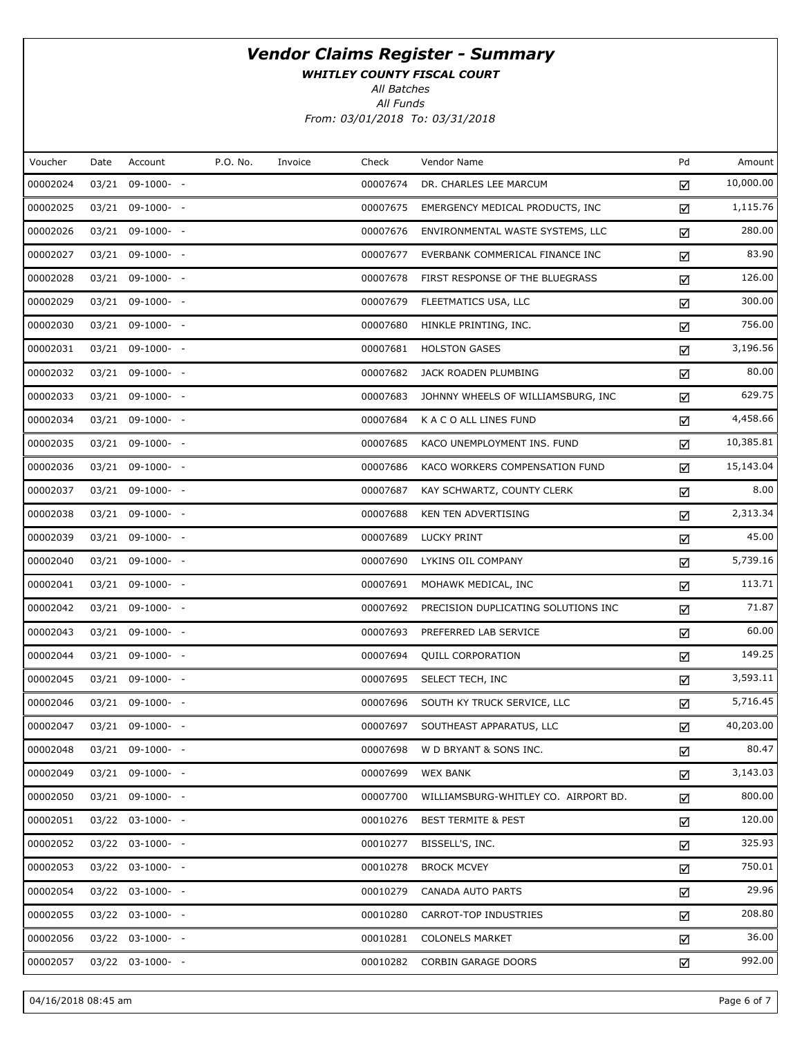WHITLEY COUNTY FISCAL COURT

All Batches

All Funds From: 03/01/2018 To: 03/31/2018

| Voucher  | Date | Account               | P.O. No. | Invoice | Check    | Vendor Name                          | Pd | Amount    |
|----------|------|-----------------------|----------|---------|----------|--------------------------------------|----|-----------|
| 00002024 |      | 03/21 09-1000- -      |          |         | 00007674 | DR. CHARLES LEE MARCUM               | ☑  | 10,000.00 |
| 00002025 |      | 03/21 09-1000- -      |          |         | 00007675 | EMERGENCY MEDICAL PRODUCTS, INC      | ☑  | 1,115.76  |
| 00002026 |      | 03/21 09-1000- -      |          |         | 00007676 | ENVIRONMENTAL WASTE SYSTEMS, LLC     | ☑  | 280.00    |
| 00002027 |      | 03/21 09-1000- -      |          |         | 00007677 | EVERBANK COMMERICAL FINANCE INC      | ☑  | 83.90     |
| 00002028 |      | 03/21 09-1000- -      |          |         | 00007678 | FIRST RESPONSE OF THE BLUEGRASS      | ☑  | 126.00    |
| 00002029 |      | 03/21 09-1000- -      |          |         | 00007679 | FLEETMATICS USA, LLC                 | ☑  | 300.00    |
| 00002030 |      | 03/21 09-1000- -      |          |         | 00007680 | HINKLE PRINTING, INC.                | ☑  | 756.00    |
| 00002031 |      | 03/21 09-1000- -      |          |         | 00007681 | <b>HOLSTON GASES</b>                 | ☑  | 3,196.56  |
| 00002032 |      | 03/21 09-1000- -      |          |         | 00007682 | JACK ROADEN PLUMBING                 | ☑  | 80.00     |
| 00002033 |      | 03/21 09-1000- -      |          |         | 00007683 | JOHNNY WHEELS OF WILLIAMSBURG, INC   | ☑  | 629.75    |
| 00002034 |      | 03/21 09-1000- -      |          |         | 00007684 | K A C O ALL LINES FUND               | ☑  | 4,458.66  |
| 00002035 |      | 03/21 09-1000- -      |          |         | 00007685 | KACO UNEMPLOYMENT INS. FUND          | ☑  | 10,385.81 |
| 00002036 |      | 03/21 09-1000- -      |          |         | 00007686 | KACO WORKERS COMPENSATION FUND       | ☑  | 15,143.04 |
| 00002037 |      | 03/21 09-1000- -      |          |         | 00007687 | KAY SCHWARTZ, COUNTY CLERK           | ☑  | 8.00      |
| 00002038 |      | 03/21 09-1000- -      |          |         | 00007688 | <b>KEN TEN ADVERTISING</b>           | ☑  | 2,313.34  |
| 00002039 |      | 03/21 09-1000- -      |          |         | 00007689 | LUCKY PRINT                          | ☑  | 45.00     |
| 00002040 |      | 03/21 09-1000- -      |          |         | 00007690 | LYKINS OIL COMPANY                   | ☑  | 5,739.16  |
| 00002041 |      | 03/21 09-1000- -      |          |         | 00007691 | MOHAWK MEDICAL, INC                  | ☑  | 113.71    |
| 00002042 |      | 03/21 09-1000- -      |          |         | 00007692 | PRECISION DUPLICATING SOLUTIONS INC  | ☑  | 71.87     |
| 00002043 |      | 03/21 09-1000- -      |          |         | 00007693 | PREFERRED LAB SERVICE                | ☑  | 60.00     |
| 00002044 |      | 03/21 09-1000- -      |          |         | 00007694 | <b>QUILL CORPORATION</b>             | ☑  | 149.25    |
| 00002045 |      | 03/21 09-1000- -      |          |         | 00007695 | SELECT TECH, INC                     | ☑  | 3,593.11  |
| 00002046 |      | 03/21 09-1000- -      |          |         | 00007696 | SOUTH KY TRUCK SERVICE, LLC          | ☑  | 5,716.45  |
| 00002047 |      | 03/21 09-1000- -      |          |         | 00007697 | SOUTHEAST APPARATUS, LLC             | ☑  | 40,203.00 |
| 00002048 |      | 03/21 09-1000- -      |          |         | 00007698 | W D BRYANT & SONS INC.               | ☑  | 80.47     |
| 00002049 |      | 03/21 09-1000- -      |          |         | 00007699 | <b>WEX BANK</b>                      | ☑  | 3,143.03  |
| 00002050 |      | 03/21 09-1000- -      |          |         | 00007700 | WILLIAMSBURG-WHITLEY CO. AIRPORT BD. | ☑  | 800.00    |
| 00002051 |      | $03/22$ $03-1000$ - - |          |         | 00010276 | <b>BEST TERMITE &amp; PEST</b>       | ☑  | 120.00    |
| 00002052 |      | 03/22 03-1000- -      |          |         | 00010277 | BISSELL'S, INC.                      | ☑  | 325.93    |
| 00002053 |      | 03/22 03-1000- -      |          |         | 00010278 | <b>BROCK MCVEY</b>                   | ☑  | 750.01    |
| 00002054 |      | 03/22 03-1000- -      |          |         | 00010279 | CANADA AUTO PARTS                    | ☑  | 29.96     |
| 00002055 |      | 03/22 03-1000- -      |          |         | 00010280 | CARROT-TOP INDUSTRIES                | ☑  | 208.80    |
| 00002056 |      | 03/22 03-1000- -      |          |         | 00010281 | <b>COLONELS MARKET</b>               | ☑  | 36.00     |
| 00002057 |      | 03/22 03-1000- -      |          |         | 00010282 | <b>CORBIN GARAGE DOORS</b>           | ☑  | 992.00    |
|          |      |                       |          |         |          |                                      |    |           |